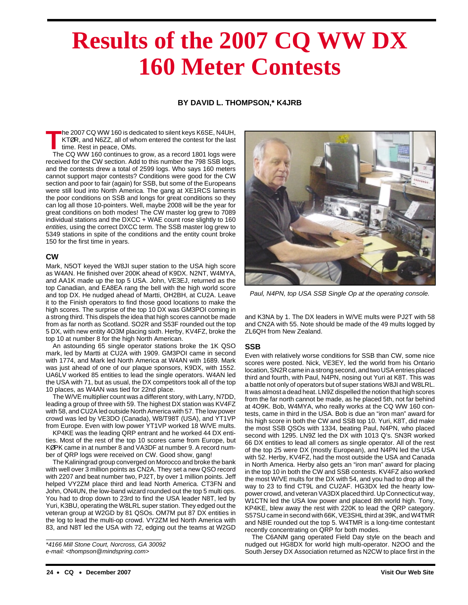# **Results of the 2007 CQ WW DX 160 Meter Contests**

# **BY DAVID L. THOMPSON,\* K4JRB**

The 2007 CQ WW 160 is dedicated to silent keys K6SE, N4UH,<br>KTØR, and N6ZZ, all of whom entered the contest for the last<br>time. Rest in peace, OMs.<br>The CO WW 160 entitives to grave as a record 1801 lags were KTØR, and N6ZZ, all of whom entered the contest for the last time. Rest in peace, OMs.

The CQ WW 160 continues to grow, as a record 1801 logs were received for the CW section. Add to this number the 798 SSB logs, and the contests drew a total of 2599 logs. Who says 160 meters cannot support major contests? Conditions were good for the CW section and poor to fair (again) for SSB, but some of the Europeans were still loud into North America. The gang at XE1RCS laments the poor conditions on SSB and longs for great conditions so they can log all those 10-pointers. Well, maybe 2008 will be the year for great conditions on both modes! The CW master log grew to 7089 individual stations and the DXCC + WAE count rose slightly to 160 entities, using the correct DXCC term. The SSB master log grew to 5349 stations in spite of the conditions and the entity count broke 150 for the first time in years.

## **CW**

Mark, N5OT keyed the W8JI super station to the USA high score as W4AN. He finished over 200K ahead of K9DX. N2NT, W4MYA, and AA1K made up the top 5 USA. John, VE3EJ, returned as the top Canadian, and EA8EA rang the bell with the high world score and top DX. He nudged ahead of Martti, OH2BH, at CU2A. Leave it to the Finish operators to find those good locations to make the high scores. The surprise of the top 10 DX was GM3POI coming in a strong third. This dispels the idea that high scores cannot be made from as far north as Scotland. SO2R and S53F rounded out the top 5 DX, with new entity 4O3M placing sixth. Herby, KV4FZ, broke the top 10 at number 8 for the high North American.

An astounding 65 single operator stations broke the 1K QSO mark, led by Martti at CU2A with 1909. GM3POI came in second with 1774, and Mark led North America at W4AN with 1689. Mark was just ahead of one of our plaque sponsors, K9DX, with 1552. UA6LV worked 85 entities to lead the single operators. W4AN led the USA with 71, but as usual, the DX competitors took all of the top 10 places, as W4AN was tied for 22nd place.

The W/VE multiplier count was a different story, with Larry, N7DD, leading a group of three with 59. The highest DX station was KV4FZ with 58, and CU2A led outside North America with 57. The low power crowd was led by VE3DO (Canada), W8/T98T (USA), and YT1VP from Europe. Even with low power YT1VP worked 18 W/VE mults.

KP4KE was the leading QRP entrant and he worked 44 DX entities. Most of the rest of the top 10 scores came from Europe, but KØPK came in at number 8 and VA3DF at number 9. A record number of QRP logs were received on CW. Good show, gang!

The Kaliningrad group converged on Morocco and broke the bank with well over 3 million points as CN2A. They set a new QSO record with 2207 and beat number two, PJ2T, by over 1 million points. Jeff helped VY2ZM place third and lead North America. CT3FN and John, ON4UN, the low-band wizard rounded out the top 5 multi ops. You had to drop down to 23rd to find the USA leader N8T, led by Yuri, K3BU, operating the W8LRL super station. They edged out the veteran group at W2GD by 81 QSOs. OM7M put 87 DX entities in the log to lead the multi-op crowd. VY2ZM led North America with 83, and N8T led the USA with 72, edging out the teams at W2GD

\*4166 Mill Stone Court, Norcross, GA 30092 e-mail: <thompson@mindspring.com>



Paul, N4PN, top USA SSB Single Op at the operating console.

and K3NA by 1. The DX leaders in W/VE mults were PJ2T with 58 and CN2A with 55. Note should be made of the 49 mults logged by ZL6QH from New Zealand.

## **SSB**

Even with relatively worse conditions for SSB than CW, some nice scores were posted. Nick, VE3EY, led the world from his Ontario location, SN2R came in a strong second, and two USA entries placed third and fourth, with Paul, N4PN, nosing out Yuri at K8T. This was a battle not only of operators but of super stations W8JI and W8LRL. It was almost a dead heat. LN9Z dispelled the notion that high scores from the far north cannot be made, as he placed 5th, not far behind at 4O9K. Bob, W4MYA, who really works at the CQ WW 160 contests, came in third in the USA. Bob is due an "iron man" award for his high score in both the CW and SSB top 10. Yuri, K8T, did make the most SSB QSOs with 1334, beating Paul, N4PN, who placed second with 1295. LN9Z led the DX with 1013 Q's. SN3R worked 66 DX entities to lead all comers as single operator. All of the rest of the top 25 were DX (mostly European), and N4PN led the USA with 52. Herby, KV4FZ, had the most outside the USA and Canada in North America. Herby also gets an "iron man" award for placing in the top 10 in both the CW and SSB contests. KV4FZ also worked the most W/VE mults for the DX with 54, and you had to drop all the way to 23 to find CT9L and CU2AF. HG3DX led the hearty lowpower crowd, and veteran VA3DX placed third. Up Connecticut way, W1CTN led the USA low power and placed 8th world high. Tony, KP4KE, blew away the rest with 220K to lead the QRP category. S57SU came in second with 66K, VE3SHL third at 39K, and W4TMR and N8IE rounded out the top 5. W4TMR is a long-time contestant recently concentrating on QRP for both modes.

The C6ANM gang operated Field Day style on the beach and nudged out HG8DX for world high multi-operator. N2OO and the South Jersey DX Association returned as N2CW to place first in the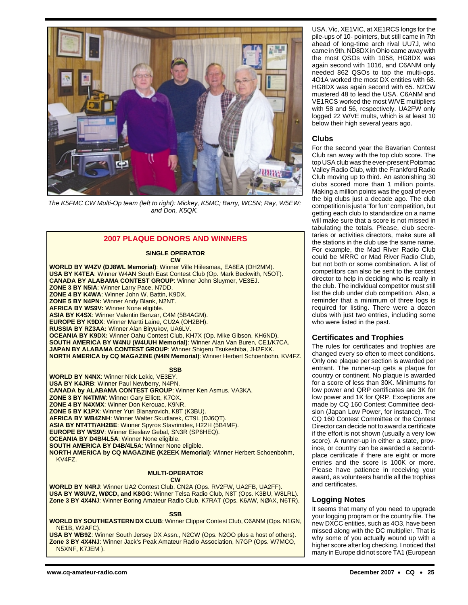

The K5FMC CW Multi-Op team (left to right): Mickey, K5MC; Barry, WC5N; Ray, W5EW; and Don, K5QK.

# **2007 PLAQUE DONORS AND WINNERS**

**SINGLE OPERATOR** 

**CW WORLD BY W4ZV (DJ8WL Memorial)**: Winner Ville Hiilesmaa, EA8EA (OH2MM). **USA BY K4TEA**: Winner W4AN South East Contest Club (Op. Mark Beckwith, N5OT). **CANADA BY ALABAMA CONTEST GROUP**: Winner John Sluymer, VE3EJ. **ZONE 3 BY N5IA**: Winner Larry Pace, N7DD. **ZONE 4 BY K4WA**: Winner John W. Battin, K9DX. **ZONE 5 BY N4PN:** Winner Andy Blank, N2NT. **AFRICA BY WS9V:** Winner None eligible. **ASIA BY K4SX**: Winner Valentin Benzar, C4M (5B4AGM). **EUROPE BY K9DX**: Winner Martti Laine, CU2A (OH2BH). **RUSSIA BY RZ3AA:** Winner Alan Biryukov, UA6LV. **OCEANIA BY K9DX:** Winner Oahu Contest Club, KH7X (Op. Mike Gibson, KH6ND). **SOUTH AMERICA BY W4NU (W4UUH Memorial)**: Winner Alan Van Buren, CE1/K7CA. **JAPAN BY ALABAMA CONTEST GROUP**: Winner Shigeru Tsukeshiba, JH2FXK. **NORTH AMERICA by CQ MAGAZINE (N4IN Memorial)**: Winner Herbert Schoenbohn, KV4FZ. **SSB WORLD BY N4NX**: Winner Nick Lekic, VE3EY. **USA BY K4JRB**: Winner Paul Newberry, N4PN. **CANADA by ALABAMA CONTEST GROUP**: Winner Ken Asmus, VA3KA. **ZONE 3 BY N4TMW**: Winner Gary Elliott, K7OX. **ZONE 4 BY N4XMX**: Winner Don Kerouac, K9NR. **ZONE 5 BY K1PX**: Winner Yuri Blanarovich, K8T (K3BU). **AFRICA BY WB4ZNH**: Winner Walter Skudlarek, CT9L (DJ6QT). **ASIA BY NT4TT/AH2BE**: Winner Spyros Stavrinides, H22H (5B4MF). **EUROPE BY WS9V**: Winner Eieslaw Gebal, SN3R (SP6HEQ). **OCEANIA BY D4B/4L5A**: Winner None eligible. **SOUTH AMERICA BY D4B/4L5A**: Winner None eligible. **NORTH AMERICA by CQ MAGAZINE (K2EEK Memorial)**: Winner Herbert Schoenbohm, KV4FZ. **MULTI-OPERATOR CW WORLD BY N4RJ**: Winner UA2 Contest Club, CN2A (Ops. RV2FW, UA2FB, UA2FF). **USA BY W8UVZ, WØCD, and K8GG**: Winner Telsa Radio Club, N8T (Ops. K3BU, W8LRL). **Zone 3 BY 4X4N**J: Winner Boring Amateur Radio Club, K7RAT (Ops. K6AW, NØAX, N6TR). **SSB WORLD BY SOUTHEASTERN DX CLUB**: Winner Clipper Contest Club, C6ANM (Ops. N1GN,

NE1B, W2AFC). **USA BY WB9Z**: Winner South Jersey DX Assn., N2CW (Ops. N2OO plus a host of others). **Zone 3 BY 4X4NJ**: Winner Jack's Peak Amateur Radio Association, N7GP (Ops. W7MCO, N5XNF, K7JEM ).

USA. Vic, XE1VIC, at XE1RCS longs for the pile-ups of 10- pointers, but still came in 7th ahead of long-time arch rival UU7J, who came in 9th. ND8DX in Ohio came away with the most QSOs with 1058, HG8DX was again second with 1016, and C6ANM only needed 862 QSOs to top the multi-ops. 4O1A worked the most DX entities with 68. HG8DX was again second with 65. N2CW mustered 48 to lead the USA. C6ANM and VE1RCS worked the most W/VE multipliers with 58 and 56, respectively. UA2FW only logged 22 W/VE mults, which is at least 10 below their high several years ago.

# **Clubs**

For the second year the Bavarian Contest Club ran away with the top club score. The top USA club was the ever-present Potomac Valley Radio Club, with the Frankford Radio Club moving up to third. An astonishing 30 clubs scored more than 1 million points. Making a million points was the goal of even the big clubs just a decade ago. The club competition is just a "for fun" competition, but getting each club to standardize on a name will make sure that a score is not missed in tabulating the totals. Please, club secretaries or activities directors, make sure all the stations in the club use the same name. For example, the Mad River Radio Club could be MRRC or Mad River Radio Club, but not both or some combination. A list of competitors can also be sent to the contest director to help in deciding who is really in the club. The individual competitor must still list the club under club competition. Also, a reminder that a minimum of three logs is required for listing. There were a dozen clubs with just two entries, including some who were listed in the past.

## **Certificates and Trophies**

The rules for certificates and trophies are changed every so often to meet conditions. Only one plaque per section is awarded per entrant. The runner-up gets a plaque for country or continent. No plaque is awarded for a score of less than 30K. Minimums for low power and QRP certificates are 3K for low power and 1K for QRP. Exceptions are made by CQ 160 Contest Committee decision (Japan Low Power, for instance). The CQ 160 Contest Committee or the Contest Director can decide not to award a certificate if the effort is not shown (usually a very low score). A runner-up in either a state, province, or country can be awarded a secondplace certificate if there are eight or more entries and the score is 100K or more. Please have patience in receiving your award, as volunteers handle all the trophies and certificates.

# **Logging Notes**

It seems that many of you need to upgrade your logging program or the country file. The new DXCC entities, such as 4O3, have been missed along with the DC multiplier. That is why some of you actually wound up with a higher score after log checking. I noticed that many in Europe did not score TA1 (European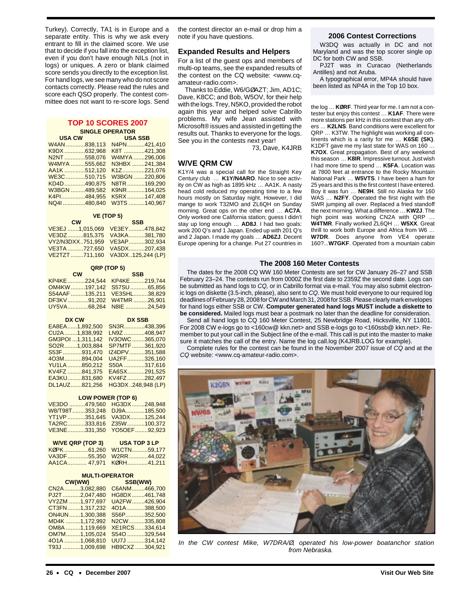Turkey). Correctly, TA1 is in Europe and a separate entity. This is why we ask every entrant to fill in the claimed score. We use that to decide if you fall into the exception list, even if you don't have enough NILs (not in logs) or uniques. A zero or blank claimed score sends you directly to the exception list. For hand logs, we see many who do not score contacts correctly. Please read the rules and score each QSO properly. The contest committee does not want to re-score logs. Send

## **TOP 10 SCORES 2007 SINGLE OPERATOR**

| <b>USA CW</b> |                                                                                                                                                           | <b>USA SSB</b> |  |
|---------------|-----------------------------------------------------------------------------------------------------------------------------------------------------------|----------------|--|
|               |                                                                                                                                                           | N4PN421,410    |  |
|               |                                                                                                                                                           | K8T 421,308    |  |
|               |                                                                                                                                                           | W4MYA 296.006  |  |
|               |                                                                                                                                                           | N3HBX 241.384  |  |
|               |                                                                                                                                                           | K1Z221,076     |  |
|               |                                                                                                                                                           | W3BGN 220.806  |  |
|               |                                                                                                                                                           | N8TR169.290    |  |
|               |                                                                                                                                                           | K9NR164,025    |  |
|               |                                                                                                                                                           | K5RX147,408    |  |
|               |                                                                                                                                                           | W3TS 140.967   |  |
|               | W4AN838,113<br>K9DX 632,968<br>N2NT 558,076<br>W4MYA 555,662<br>AA1K 512,120<br>WE3C510.715<br>KD4D490.875<br>W3BGN 489,582<br>K4PI484,955<br>NQ41480,840 |                |  |

## **VE (TOP 5)**

| <b>CW</b>                        | <b>SSB</b> |  |
|----------------------------------|------------|--|
| VE3EJ 1,015,069 VE3EY 478,842    |            |  |
| VE3DZ815.375 VA3KA381.780        |            |  |
| VY2/N3DXX751,959 VE3AP302,934    |            |  |
| VE3TA 727.650 VA5DX207.438       |            |  |
| VE2TZT 711,160 VA3DX125,244 (LP) |            |  |

| QRP (TOP 5) |                             |            |  |
|-------------|-----------------------------|------------|--|
| $CM$        |                             | <b>SSB</b> |  |
|             | KP4KE 224.544 KP4KE 219.744 |            |  |
|             | OM4KW197.142 S57SU65.856    |            |  |
|             | S54AAF 135.211 VE3SHL38.829 |            |  |
|             | DF3KV91.202 W4TMR 26.901    |            |  |
|             |                             |            |  |
|             |                             |            |  |

| DX CW |                            | <b>DX SSB</b> |                   |
|-------|----------------------------|---------------|-------------------|
|       | EA8EA1,892,500             |               | SN3R438,396       |
|       | CU2A 1,838,992             |               | LN9Z 408,947      |
|       | GM3POI 1.311.142           |               | IV3OWC365.070     |
|       | SO <sub>2</sub> R1,003,884 |               | SP7MTF361,920     |
|       | S53F931,470                |               | IZ4DPV351,588     |
|       | 4O3M894.004                |               | UA2FF326.160      |
|       | YU1LA850,212               |               | S50A 317,616      |
|       | KV4FZ 841,375              |               | EA6SX291,525      |
|       | EA3KU831,680               |               | KV4FZ282,497      |
|       | DL1AUZ821,256              |               | HG3DX248,948 (LP) |

#### **LOW POWER (TOP 6)**

|  | VE3DO 479,560 HG3DX 248,948 |  |
|--|-----------------------------|--|
|  |                             |  |
|  |                             |  |
|  |                             |  |
|  | VE3NE331,350 YO5OEF92,923   |  |
|  |                             |  |

| W/VE QRP (TOP 3) USA TOP 3 LP |  |                                                                                   |  |
|-------------------------------|--|-----------------------------------------------------------------------------------|--|
|                               |  |                                                                                   |  |
|                               |  |                                                                                   |  |
|                               |  |                                                                                   |  |
|                               |  | KØPK 61.260    W1CTN59.177<br>VA3DF 55.350 W2RR 44.022<br>AA1CA 47.971 KØRH41.211 |  |

#### **MULTI-OPERATOR CW(WW) SSB(WW)**

| CN2A3,082,880   | C6ANM466,700   |  |
|-----------------|----------------|--|
| PJ2T2.047.480   | HG8DX 461,748  |  |
| VY2ZM 1,977,697 | UA2FW426,904   |  |
| CT3FN1,317,232  | 401A 388.500   |  |
| ON4UN1.300.388  | S56P352.500    |  |
| MD4K 1,172,992  | N2CW335,808    |  |
| OM8A 1,119,669  | XE1RCS334,614  |  |
| OM7M1,105,024   | S540 329,544   |  |
| 401A 1,068,810  | UU7J 314,142   |  |
| T93J 1.009.698  | HB9CXZ 304,921 |  |

the contest director an e-mail or drop him a note if you have questions.

## **Expanded Results and Helpers**

For a list of the guest ops and members of multi-op teams, see the expanded results of the contest on the CQ website: <www.cqamateur-radio.com>.

Thanks to Eddie, W6/GØAZT; Jim, AD1C; Dave, K8CC; and Bob, W5OV, for their help with the logs. Trey, N5KO, provided the robot again this year and helped solve Cabrillo problems. My wife Jean assisted with Microsoft® issues and assisted in getting the results out. Thanks to everyone for the logs. See you in the contests next year!

73, Dave, K4JRB

# **W/VE QRM CW**

K1Y/4 was a special call for the Straight Key Century club … **K1Y/N4ARO**. Nice to see activity on CW as high as 1895 kHz … AA1K. A nasty head cold reduced my operating time to a few hours mostly on Saturday night. However, I did mange to work T32MO and ZL6QH on Sunday morning. Great ops on the other end … **AC7A**. Only worked one California station; guess I didn't stay up long enough … **AD8J**. I had two goals: work 200 Q's and 1 Japan. Ended up with 201 Q's and 2 Japan. I made my goals … **AD6ZJ**. Decent Europe opening for a change. Put 27 countries in

### **2006 Contest Corrections**

W3DQ was actually in DC and not Maryland and was the top scorer single op DC for both CW and SSB.

PJ2T was in Curacao (Netherlands Antilles) and not Aruba.

A typographical error, MP4A should have been listed as NP4A in the Top 10 box.

the log … **KØRF**. Third year for me. I am not a contester but enjoy this contest … **K1AF**. There were more stations per kHz in this contest than any others … **K2LNS**. Band conditions were excellent for QRP … K3TW. The highlight was working all continents which is a rarity for me … **K6SE (SK)**. K1DFT gave me my last state for WAS on 160 … **K7OX**. Great propagation. Best of any weekend this season …**K8IR**. Impressive turnout. Just wish I had more time to spend … **K5FA**. Location was at 7800 feet at entrance to the Rocky Mountain National Park … **W5VTS**. I have been a ham for 25 years and this is the first contest I have entered. Boy it was fun … **NE9H**. Still no Alaska for 160 WAS … **N2FY**. Operated the first night with the SWR jumping all over. Replaced a fried standoff the next morning. What a difference … **KW2J**. The high point was working CN2A with QRP … **W4TMR**. Finally worked ZL6QH … **W5XX**. Great thrill to work both Europe and Africa from W6 … **W7DR**. Does anyone from VE4 operate 160?...**W7GKF**. Operated from a mountain cabin

## **The 2008 160 Meter Contests**

The dates for the 2008 CQ WW 160 Meter Contests are set for CW January 26–27 and SSB February 23–24. The contests run from 0000Z the first date to 2359Z the second date. Logs can be submitted as hand logs to CQ, or in Cabrillo format via e-mail. You may also submit electronic logs on diskette (3.5-inch, please), also sent to CQ. We must hold everyone to our required log deadlines of February 28, 2008 for CW and March 31, 2008 for SSB. Please clearly mark envelopes for hand logs either SSB or CW. **Computer generated hand logs MUST include a diskette to be considered.** Mailed logs must bear a postmark no later than the deadline for consideration.

Send all hand logs to CQ 160 Meter Contest, 25 Newbridge Road, Hicksville, NY 11801. For 2008 CW e-logs go to <160cw@ kkn.net> and SSB e-logs go to <160ssb@ kkn.net>. Remember to put your call in the Subject line of the e-mail. This call is put into the master to make sure it matches the call of the entry. Name the log call.log (K4JRB.LOG for example).

Complete rules for the contest can be found in the November 2007 issue of CQ and at the CQ website: <www.cq-amateur-radio.com>.



In the CW contest Mike, W7DRA/Ø, operated his low-power boatanchor station from Nebraska.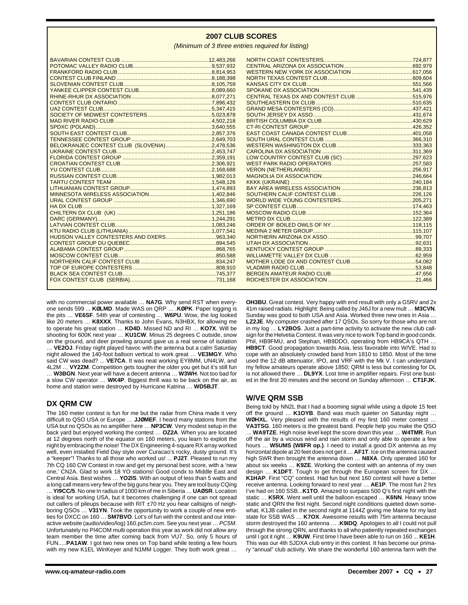## **2007 CLUB SCORES**

(Minimum of 3 three entries required for listing)

| BELOKRANJEC CONTEST CLUB (SLOVENIA)2,478,536 |  |  |
|----------------------------------------------|--|--|
|                                              |  |  |
|                                              |  |  |
|                                              |  |  |
|                                              |  |  |
|                                              |  |  |
|                                              |  |  |
|                                              |  |  |
|                                              |  |  |
|                                              |  |  |
|                                              |  |  |
|                                              |  |  |
|                                              |  |  |
|                                              |  |  |
|                                              |  |  |
|                                              |  |  |
|                                              |  |  |
|                                              |  |  |
|                                              |  |  |
|                                              |  |  |
|                                              |  |  |
|                                              |  |  |
|                                              |  |  |
|                                              |  |  |

with no commercial power available … **NA7G**. Why send RST when everyone sends 599 ... **KØLMD**. Made WAS on QRP … .**KØPK**. Paper logging is the pits … **VE6SF**. 54th year of contesting … **W6PU**. Wow, the log looked like 20 meters … **K8XXX**. Thanks to John Evans, N3HBX, for allowing me to operate his great station … **KD4D**. Missed ND and RI … **KO7X**. Will be shooting for 600K next year … **KU1CW**. Minus 25 degrees C outside, snow on the ground, and deer prowling around gave us a real sense of isolation … **VE2OJ**. Friday night played havoc with the antenna but a calm Saturday night allowed the 140-foot balloon vertical to work great … **VE3MGY**. Who said CW was dead? ... **VE7CA**. It was neat working EY8MM, UN4LW, and 4L2M … **VY2ZM**. Competition gets tougher the older you get but it's still fun … **W3BGN**. Next year will have a decent antenna … **W3WH**. Not too bad for a slow CW operator … **WK4P**. Biggest thrill was to be back on the air, as home and station were destroyed by Hurricane Katrina … **WD5BJT**.

## **DX QRM CW**

The 160 meter contest is fun for me but the radar from China made it very difficult to QSO USA or Europe … **JJØMEF**. I heard many stations from the USA but no QSOs as no amplifier here … **NP3CW**. Very modest setup in the back yard but enjoyed working the contest … **OZ2A**. When you are located at 12 degrees north of the equator on 160 meters, you learn to exploit the night by embracing the noise! The DX Engineering 4-square RX array worked well, even installed Field Day style over Curacao's rocky, dusty ground. It's a "keeper"! Thanks to all those who worked us! ... **PJ2T**. Pleased to run my 7th CQ 160 CW Contest in row and get my personal best score, with a 'new one,' CN2A. Glad to work 18 YO stations! Good condx to Middle East and Central Asia. Best wishes … **YO2IS**. With an output of less than 5 watts and a long call means very few of the big guns hear you. They are tool busy CQing … **YI9CC/5**. No one In radius of 1000 km of me in Siberia … **UAØSR**. Location is ideal for working USA, but it becomes challenging if one can not spread out callers of pileups because with RIT ±70 Hz you hear callsigns of neighboring QSOs … **V31YN**. Took the opportunity to work a couple of new entities for DXCC on 160 … **SM7BVO**. Lot's of fun with the contest and our interactive website (audio/video/log) 160.pc5m.com. See you next year … PC5M. Unfortunately no PI4COM multi operation this year as work did not allow any team member the time after coming back from VU7. So, only 5 hours of FUN.....**PA1AW**. I got two new ones on Top band while testing a few hours with my new K1EL WinKeyer and N1MM Logger. They both work great …

**OH3BU**. Great contest. Very happy with end result with only a G5RV and 2x 41m raised radials. Highlight: Being called by J46J for a new mult … **M3CVN**. Sunday was good to both USA and Asia. Worked three new ones in Asia … **LZ2JE**. My computer crashed after 17 QSOs. So sorry for those who are not in my log … **LY2BOS**. Just a part-time activity to activate the new club callsign for the Helvetia Contest. It was very nice to work Top band in good condx. Phil, HB9FMU, and Stephan, HB9DDO, operating from HB9CA's QTH … **HB9CT**. Good propagation towards Asia, less favorable into W/VE. Had to cope with an absolutely crowded band from 1810 to 1850. Most of the time used the 12 dB attenuator, IPO, and VRF with the Mk V. I can understand my fellow amateurs operate above 1850; QRM is less but contesting for DL is not allowed there … **DL9YX**. Lost time in amplifier repairs. First one busted in the first 20 minutes and the second on Sunday afternoon … **CT1FJK**.

## **W/VE QRM SSB**

Being told by NN2L that I had a booming signal while using a dipole 15 feet off the ground … **K1OYB**. Band was much quieter on Saturday night … **WØHXL**. Very pleased with the results of my first 160 meter contest … **VA3TSG**. 160 meters is the greatest band. People help you make the QSO … **WA9TZE**. High noise level kept the score down this year … **W4TMR**. Run off the air by a vicious wind and rain storm and only able to operate a few hours … **W5UMS (W8FR op.)**. I need to install a good DX antenna as my horizontal dipole at 20 feet does not get it … **AF1T**. Ice on the antenna caused high SWR then brought the antenna down … **N8XA**. Only operated 160 for about six weeks … **K9ZE**. Working the contest with an antenna of my own design … **K1DFT**. Tough to get through the European screen for DX … **K1HAP**. First "CQ" contest. Had fun but next 160 contest will have a better receive antenna. Looking forward to next year … **AE1P**. The most fun 2 hrs I've had on 160 SSB...**K1TO**. Amazed to surpass 500 Q's first night with the static … **K5RX**. Went well until the balloon escaped … **K6NN**. Heavy snow static and QRN the first night. Second night conditions quieted down somewhat. K1JB called in the second night at 1144Z giving me Maine for my last state for SSB WAS … **K7OX**. Awesome results with 75m antenna because storm destroyed the 160 antenna … .**K9IDQ**. Apologies to all I could not pull through the strong QRN, and thanks to all who patiently repeated exchanges until I got it right … **K9UW**. First time I have been able to run on 160 ... **KE1H**. This was our 4th SJDXA club entry in this contest. It has become our primary "annual" club activity. We share the wonderful 160 antenna farm with the